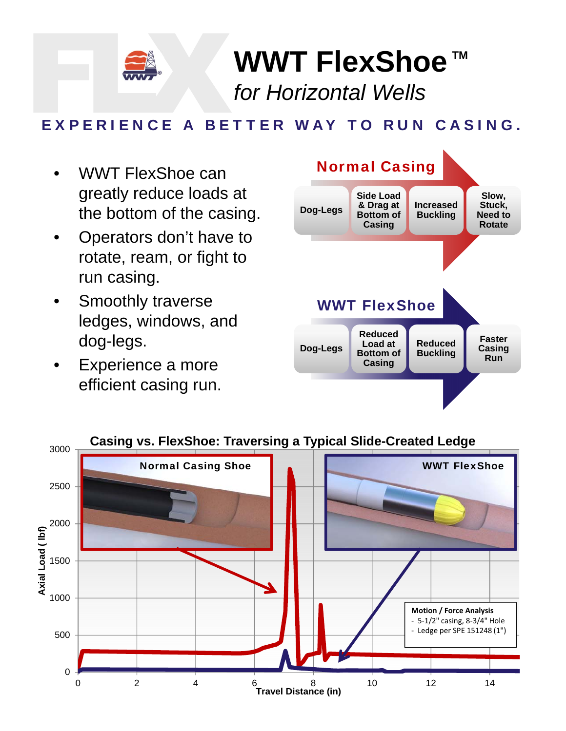

**WWT FlexShoe**™ *for Horizontal Wells*

## EXPERIENCE A BETTER WAY TO RUN CASING.

- WWT FlexShoe can greatly reduce loads at the bottom of the casing.
- Operators don't have to rotate, ream, or fight to run casing.
- Smoothly traverse ledges, windows, and dog-legs.
- Experience a more efficient casing run.